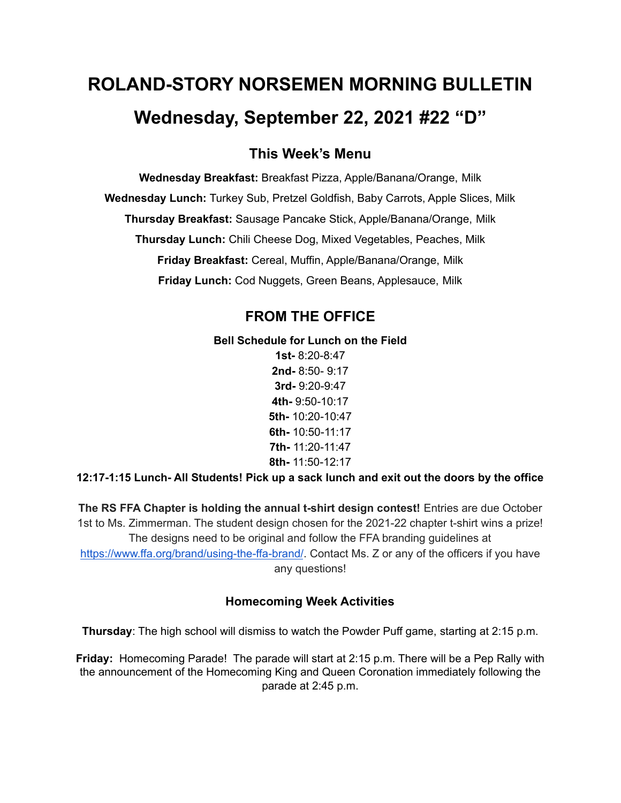# **ROLAND-STORY NORSEMEN MORNING BULLETIN Wednesday, September 22, 2021 #22 "D"**

# **This Week's Menu**

**Wednesday Breakfast:** Breakfast Pizza, Apple/Banana/Orange, Milk **Wednesday Lunch:** Turkey Sub, Pretzel Goldfish, Baby Carrots, Apple Slices, Milk **Thursday Breakfast:** Sausage Pancake Stick, Apple/Banana/Orange, Milk **Thursday Lunch:** Chili Cheese Dog, Mixed Vegetables, Peaches, Milk **Friday Breakfast:** Cereal, Muffin, Apple/Banana/Orange, Milk **Friday Lunch:** Cod Nuggets, Green Beans, Applesauce, Milk

# **FROM THE OFFICE**

#### **Bell Schedule for Lunch on the Field**

**1st-** 8:20-8:47 **2nd-** 8:50- 9:17 **3rd-** 9:20-9:47 **4th-** 9:50-10:17 **5th-** 10:20-10:47 **6th-** 10:50-11:17 **7th-** 11:20-11:47 **8th-** 11:50-12:17

**12:17-1:15 Lunch- All Students! Pick up a sack lunch and exit out the doors by the office**

**The RS FFA Chapter is holding the annual t-shirt design contest!** Entries are due October 1st to Ms. Zimmerman. The student design chosen for the 2021-22 chapter t-shirt wins a prize! The designs need to be original and follow the FFA branding guidelines at <https://www.ffa.org/brand/using-the-ffa-brand/>. Contact Ms. Z or any of the officers if you have any questions!

## **Homecoming Week Activities**

**Thursday**: The high school will dismiss to watch the Powder Puff game, starting at 2:15 p.m.

**Friday:** Homecoming Parade! The parade will start at 2:15 p.m. There will be a Pep Rally with the announcement of the Homecoming King and Queen Coronation immediately following the parade at 2:45 p.m.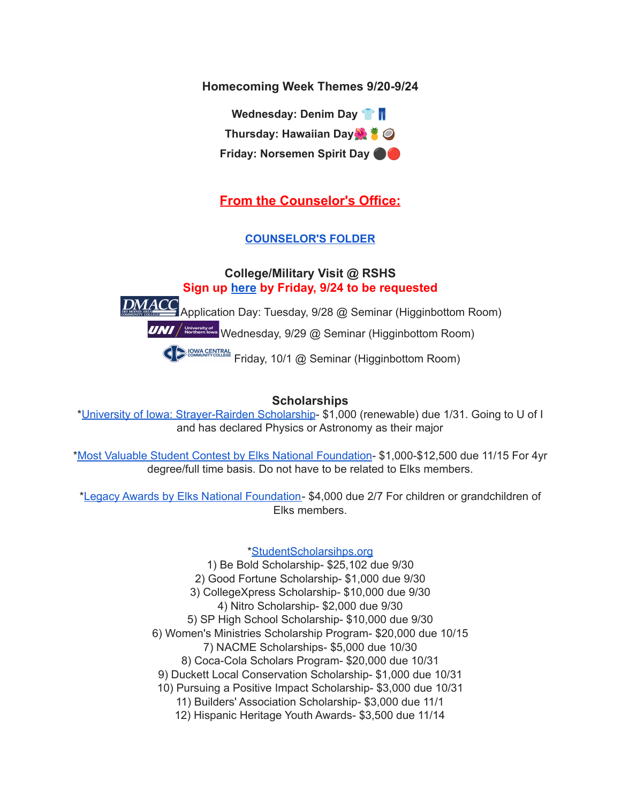**Homecoming Week Themes 9/20-9/24**

**Wednesday: Denim Day Thursday: Hawaiian Day Friday: Norsemen Spirit Day** ⚫️

# **From the Counselor's Office:**

# **[COUNSELOR'S](https://docs.google.com/document/d/1vmwczNPbDzXe9vFaG5LJMQ7NYDv-i4oQJHybqA65TUc/edit?usp=sharing) FOLDER**

# **College/Military Visit @ RSHS Sign up [here](https://forms.gle/9pTD2FPMHGQVCXTcA) by Friday, 9/24 to be requested**

DMACC Application Day: Tuesday, 9/28 @ Seminar (Higginbottom Room)

**UNI** / **Notertally of a** Wednesday, 9/29 @ Seminar (Higginbottom Room)

**COMMAGENTRAL Friday, 10/1 @ Seminar (Higginbottom Room)** 

## **Scholarships**

\*University of Iowa: [Strayer-Rairden](https://drive.google.com/file/d/19dd2KrYVSWYKX2eleClYPvARc5_M10rR/view?usp=sharing) Scholarship- \$1,000 (renewable) due 1/31. Going to U of I and has declared Physics or Astronomy as their major

\*Most Valuable Student Contest by Elks National [Foundation](https://www.elks.org/scholars/scholarships/mvs.cfm)- \$1,000-\$12,500 due 11/15 For 4yr degree/full time basis. Do not have to be related to Elks members.

\*Legacy Awards by Elks National [Foundation-](https://www.elks.org/scholars/scholarships/Legacy.cfm) \$4,000 due 2/7 For children or grandchildren of Elks members.

## [\\*StudentScholarsihps.org](https://drive.google.com/file/d/15_QGMs4o4nf-uHxHY58Ue31_w-7Qw42k/view?usp=sharing)

1) Be Bold Scholarship- \$25,102 due 9/30 2) Good Fortune Scholarship- \$1,000 due 9/30 3) CollegeXpress Scholarship- \$10,000 due 9/30 4) Nitro Scholarship- \$2,000 due 9/30 5) SP High School Scholarship- \$10,000 due 9/30 6) Women's Ministries Scholarship Program- \$20,000 due 10/15 7) NACME Scholarships- \$5,000 due 10/30 8) Coca-Cola Scholars Program- \$20,000 due 10/31 9) Duckett Local Conservation Scholarship- \$1,000 due 10/31 10) Pursuing a Positive Impact Scholarship- \$3,000 due 10/31 11) Builders' Association Scholarship- \$3,000 due 11/1 12) Hispanic Heritage Youth Awards- \$3,500 due 11/14